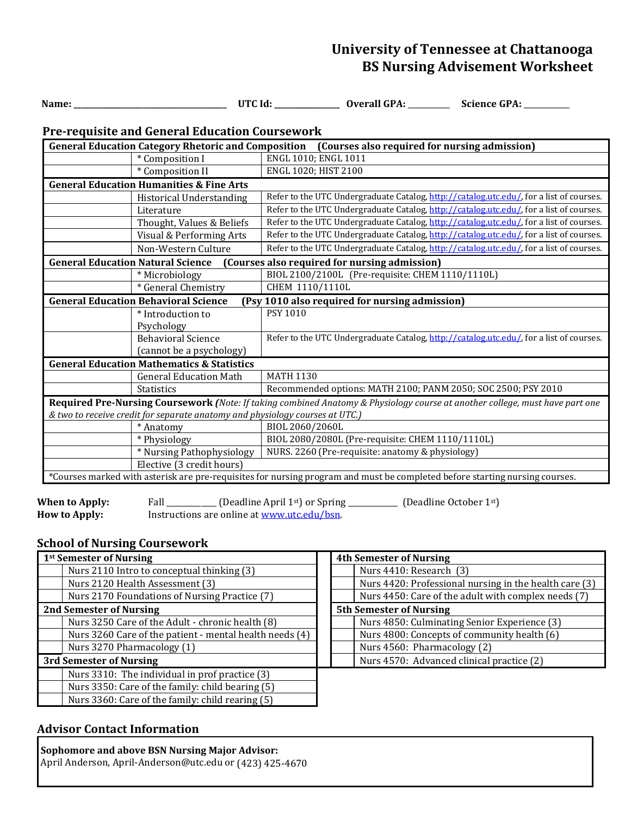# **University of Tennessee at Chattanooga BS Nursing Advisement Worksheet**

 **Name: \_\_\_\_\_\_\_\_\_\_\_\_\_\_\_\_\_\_\_\_\_\_\_\_\_\_\_\_\_\_\_\_\_\_\_\_\_\_\_\_ UTC Id: \_\_\_\_\_\_\_\_\_\_\_\_\_\_\_\_\_ Overall GPA:** \_\_\_\_\_\_\_\_\_\_\_ **Science GPA:** \_\_\_\_\_\_\_\_\_\_\_\_

# **Pre-requisite and General Education Coursework**

| <b>General Education Category Rhetoric and Composition</b><br>(Courses also required for nursing admission)                  |                                                                                         |  |  |
|------------------------------------------------------------------------------------------------------------------------------|-----------------------------------------------------------------------------------------|--|--|
| * Composition I                                                                                                              | ENGL 1010; ENGL 1011                                                                    |  |  |
| * Composition II                                                                                                             | ENGL 1020; HIST 2100                                                                    |  |  |
| <b>General Education Humanities &amp; Fine Arts</b>                                                                          |                                                                                         |  |  |
| <b>Historical Understanding</b>                                                                                              | Refer to the UTC Undergraduate Catalog, http://catalog.utc.edu/, for a list of courses. |  |  |
| Literature                                                                                                                   | Refer to the UTC Undergraduate Catalog, http://catalog.utc.edu/, for a list of courses. |  |  |
| Thought, Values & Beliefs                                                                                                    | Refer to the UTC Undergraduate Catalog, http://catalog.utc.edu/, for a list of courses. |  |  |
| Visual & Performing Arts                                                                                                     | Refer to the UTC Undergraduate Catalog, http://catalog.utc.edu/, for a list of courses. |  |  |
| Non-Western Culture                                                                                                          | Refer to the UTC Undergraduate Catalog, http://catalog.utc.edu/, for a list of courses. |  |  |
| <b>General Education Natural Science</b><br>(Courses also required for nursing admission)                                    |                                                                                         |  |  |
| * Microbiology                                                                                                               | BIOL 2100/2100L (Pre-requisite: CHEM 1110/1110L)                                        |  |  |
| * General Chemistry                                                                                                          | CHEM 1110/1110L                                                                         |  |  |
| <b>General Education Behavioral Science</b><br>(Psy 1010 also required for nursing admission)                                |                                                                                         |  |  |
| * Introduction to                                                                                                            | PSY 1010                                                                                |  |  |
| Psychology                                                                                                                   |                                                                                         |  |  |
| <b>Behavioral Science</b>                                                                                                    | Refer to the UTC Undergraduate Catalog, http://catalog.utc.edu/, for a list of courses. |  |  |
| (cannot be a psychology)                                                                                                     |                                                                                         |  |  |
| <b>General Education Mathematics &amp; Statistics</b>                                                                        |                                                                                         |  |  |
| <b>General Education Math</b>                                                                                                | <b>MATH 1130</b>                                                                        |  |  |
| <b>Statistics</b>                                                                                                            | Recommended options: MATH 2100; PANM 2050; SOC 2500; PSY 2010                           |  |  |
| Required Pre-Nursing Coursework (Note: If taking combined Anatomy & Physiology course at another college, must have part one |                                                                                         |  |  |
| & two to receive credit for separate anatomy and physiology courses at UTC.)                                                 |                                                                                         |  |  |
| * Anatomy                                                                                                                    | BIOL 2060/2060L                                                                         |  |  |
| * Physiology                                                                                                                 | BIOL 2080/2080L (Pre-requisite: CHEM 1110/1110L)                                        |  |  |
| * Nursing Pathophysiology                                                                                                    | NURS. 2260 (Pre-requisite: anatomy & physiology)                                        |  |  |
| Elective (3 credit hours)                                                                                                    |                                                                                         |  |  |
| *Courses marked with asterisk are pre-requisites for nursing program and must be completed before starting nursing courses.  |                                                                                         |  |  |
|                                                                                                                              |                                                                                         |  |  |

**When to Apply:** Fall <u>Call Eleadline</u> April 1<sup>st</sup>) or Spring Consequence (Deadline October 1<sup>st</sup>) How to Apply: Instructions are online at <u>www.utc.edu/bsn</u>. Instructions are online at www.utc.edu/bsn.

## **School of Nursing Coursework**

| 1 <sup>st</sup> Semester of Nursing                     |  | <b>4th Semester of Nursing</b>                         |  |
|---------------------------------------------------------|--|--------------------------------------------------------|--|
| Nurs 2110 Intro to conceptual thinking (3)              |  | Nurs 4410: Research (3)                                |  |
| Nurs 2120 Health Assessment (3)                         |  | Nurs 4420: Professional nursing in the health care (3) |  |
| Nurs 2170 Foundations of Nursing Practice (7)           |  | Nurs 4450: Care of the adult with complex needs (7)    |  |
| <b>2nd Semester of Nursing</b>                          |  | <b>5th Semester of Nursing</b>                         |  |
| Nurs 3250 Care of the Adult - chronic health (8)        |  | Nurs 4850: Culminating Senior Experience (3)           |  |
| Nurs 3260 Care of the patient - mental health needs (4) |  | Nurs 4800: Concepts of community health (6)            |  |
| Nurs 3270 Pharmacology (1)                              |  | Nurs 4560: Pharmacology (2)                            |  |
| 3rd Semester of Nursing                                 |  | Nurs 4570: Advanced clinical practice (2)              |  |
| Nurs 3310: The individual in prof practice (3)          |  |                                                        |  |
| Nurs 3350: Care of the family: child bearing (5)        |  |                                                        |  |
| Nurs 3360: Care of the family: child rearing (5)        |  |                                                        |  |

### **Advisor Contact Information**

**Sophomore and above BSN Nursing Major Advisor:**  April Anderson, April-Anderson@utc.edu or (423) 425-4670